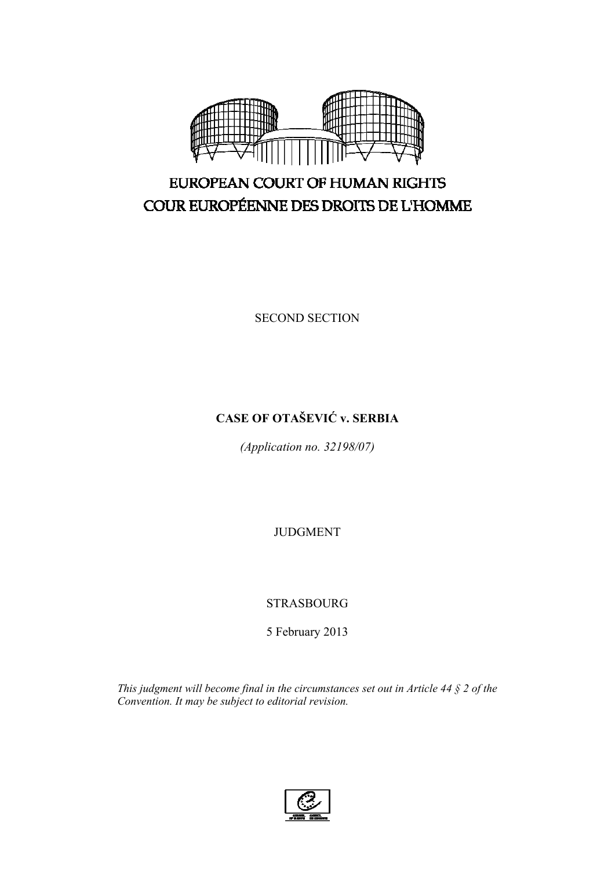

# EUROPEAN COURT OF HUMAN RIGHTS COUR EUROPÉENNE DES DROITS DE L'HOMME

SECOND SECTION

## **CASE OF OTAŠEVIĆ v. SERBIA**

*(Application no. 32198/07)* 

JUDGMENT

STRASBOURG

5 February 2013

*This judgment will become final in the circumstances set out in Article 44 § 2 of the Convention. It may be subject to editorial revision.*

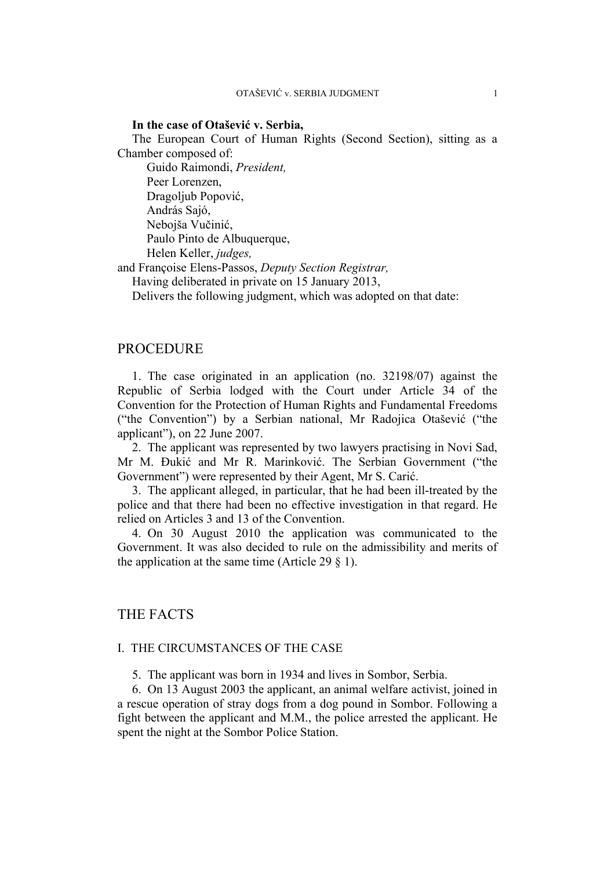### **In the case of Otašević v. Serbia,**

The European Court of Human Rights (Second Section), sitting as a Chamber composed of:

 Guido Raimondi, *President,*  Peer Lorenzen, Dragoljub Popović, András Sajó, Nebojša Vučinić, Paulo Pinto de Albuquerque, Helen Keller, *judges,*

and Françoise Elens-Passos, *Deputy Section Registrar,*

Having deliberated in private on 15 January 2013,

Delivers the following judgment, which was adopted on that date:

### PROCEDURE

1. The case originated in an application (no. 32198/07) against the Republic of Serbia lodged with the Court under Article 34 of the Convention for the Protection of Human Rights and Fundamental Freedoms ("the Convention") by a Serbian national, Mr Radojica Otašević ("the applicant"), on 22 June 2007.

2. The applicant was represented by two lawyers practising in Novi Sad, Mr M. Đukić and Mr R. Marinković. The Serbian Government ("the Government") were represented by their Agent, Mr S. Carić.

3. The applicant alleged, in particular, that he had been ill-treated by the police and that there had been no effective investigation in that regard. He relied on Articles 3 and 13 of the Convention.

4. On 30 August 2010 the application was communicated to the Government. It was also decided to rule on the admissibility and merits of the application at the same time (Article 29  $\S$  1).

### THE FACTS

### I. THE CIRCUMSTANCES OF THE CASE

5. The applicant was born in 1934 and lives in Sombor, Serbia.

6. On 13 August 2003 the applicant, an animal welfare activist, joined in a rescue operation of stray dogs from a dog pound in Sombor. Following a fight between the applicant and M.M., the police arrested the applicant. He spent the night at the Sombor Police Station.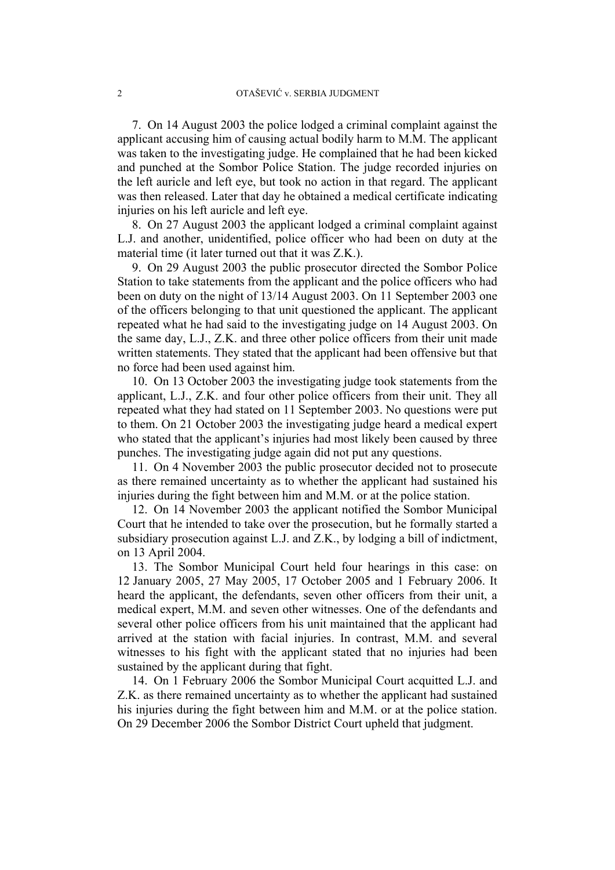7. On 14 August 2003 the police lodged a criminal complaint against the applicant accusing him of causing actual bodily harm to M.M. The applicant was taken to the investigating judge. He complained that he had been kicked and punched at the Sombor Police Station. The judge recorded injuries on the left auricle and left eye, but took no action in that regard. The applicant was then released. Later that day he obtained a medical certificate indicating injuries on his left auricle and left eye.

8. On 27 August 2003 the applicant lodged a criminal complaint against L.J. and another, unidentified, police officer who had been on duty at the material time (it later turned out that it was Z.K.).

9. On 29 August 2003 the public prosecutor directed the Sombor Police Station to take statements from the applicant and the police officers who had been on duty on the night of 13/14 August 2003. On 11 September 2003 one of the officers belonging to that unit questioned the applicant. The applicant repeated what he had said to the investigating judge on 14 August 2003. On the same day, L.J., Z.K. and three other police officers from their unit made written statements. They stated that the applicant had been offensive but that no force had been used against him.

10. On 13 October 2003 the investigating judge took statements from the applicant, L.J., Z.K. and four other police officers from their unit. They all repeated what they had stated on 11 September 2003. No questions were put to them. On 21 October 2003 the investigating judge heard a medical expert who stated that the applicant's injuries had most likely been caused by three punches. The investigating judge again did not put any questions.

11. On 4 November 2003 the public prosecutor decided not to prosecute as there remained uncertainty as to whether the applicant had sustained his injuries during the fight between him and M.M. or at the police station.

12. On 14 November 2003 the applicant notified the Sombor Municipal Court that he intended to take over the prosecution, but he formally started a subsidiary prosecution against L.J. and Z.K., by lodging a bill of indictment, on 13 April 2004.

13. The Sombor Municipal Court held four hearings in this case: on 12 January 2005, 27 May 2005, 17 October 2005 and 1 February 2006. It heard the applicant, the defendants, seven other officers from their unit, a medical expert, M.M. and seven other witnesses. One of the defendants and several other police officers from his unit maintained that the applicant had arrived at the station with facial injuries. In contrast, M.M. and several witnesses to his fight with the applicant stated that no injuries had been sustained by the applicant during that fight.

14. On 1 February 2006 the Sombor Municipal Court acquitted L.J. and Z.K. as there remained uncertainty as to whether the applicant had sustained his injuries during the fight between him and M.M. or at the police station. On 29 December 2006 the Sombor District Court upheld that judgment.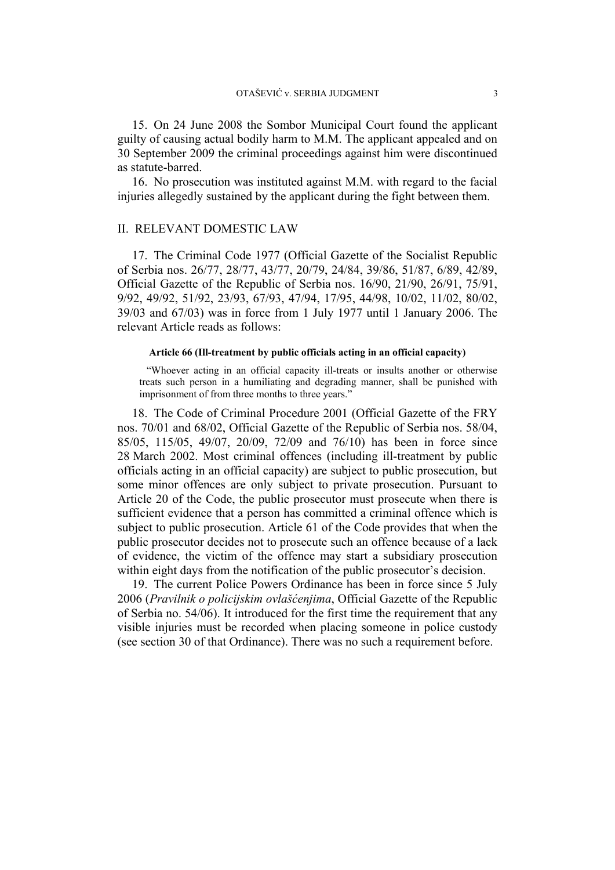15. On 24 June 2008 the Sombor Municipal Court found the applicant guilty of causing actual bodily harm to M.M. The applicant appealed and on 30 September 2009 the criminal proceedings against him were discontinued as statute-barred.

16. No prosecution was instituted against M.M. with regard to the facial injuries allegedly sustained by the applicant during the fight between them.

### II. RELEVANT DOMESTIC LAW

17. The Criminal Code 1977 (Official Gazette of the Socialist Republic of Serbia nos. 26/77, 28/77, 43/77, 20/79, 24/84, 39/86, 51/87, 6/89, 42/89, Official Gazette of the Republic of Serbia nos. 16/90, 21/90, 26/91, 75/91, 9/92, 49/92, 51/92, 23/93, 67/93, 47/94, 17/95, 44/98, 10/02, 11/02, 80/02, 39/03 and 67/03) was in force from 1 July 1977 until 1 January 2006. The relevant Article reads as follows:

### **Article 66 (Ill-treatment by public officials acting in an official capacity)**

"Whoever acting in an official capacity ill-treats or insults another or otherwise treats such person in a humiliating and degrading manner, shall be punished with imprisonment of from three months to three years.'

18. The Code of Criminal Procedure 2001 (Official Gazette of the FRY nos. 70/01 and 68/02, Official Gazette of the Republic of Serbia nos. 58/04, 85/05, 115/05, 49/07, 20/09, 72/09 and 76/10) has been in force since 28 March 2002. Most criminal offences (including ill-treatment by public officials acting in an official capacity) are subject to public prosecution, but some minor offences are only subject to private prosecution. Pursuant to Article 20 of the Code, the public prosecutor must prosecute when there is sufficient evidence that a person has committed a criminal offence which is subject to public prosecution. Article 61 of the Code provides that when the public prosecutor decides not to prosecute such an offence because of a lack of evidence, the victim of the offence may start a subsidiary prosecution within eight days from the notification of the public prosecutor's decision.

19. The current Police Powers Ordinance has been in force since 5 July 2006 (*Pravilnik o policijskim ovlašćenjima*, Official Gazette of the Republic of Serbia no. 54/06). It introduced for the first time the requirement that any visible injuries must be recorded when placing someone in police custody (see section 30 of that Ordinance). There was no such a requirement before.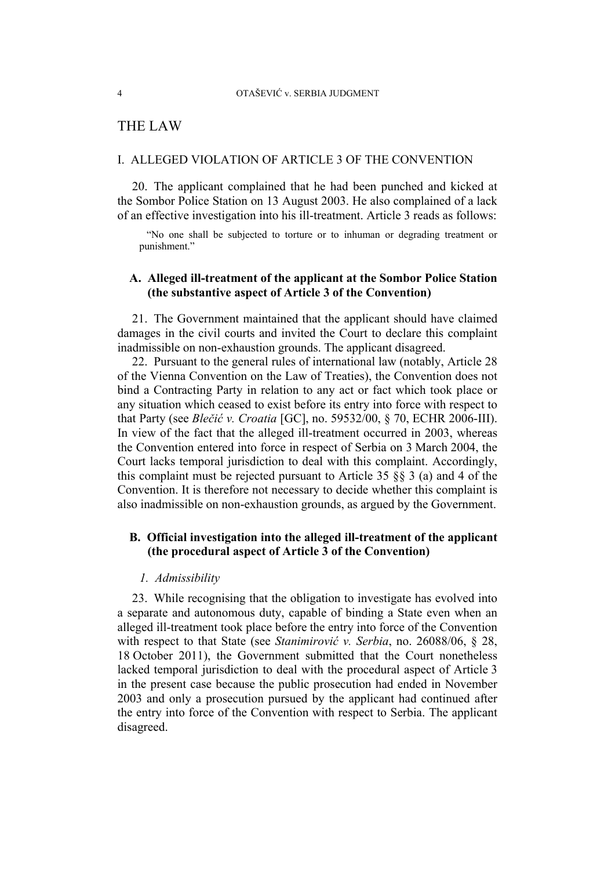### THE LAW

### I. ALLEGED VIOLATION OF ARTICLE 3 OF THE CONVENTION

20. The applicant complained that he had been punched and kicked at the Sombor Police Station on 13 August 2003. He also complained of a lack of an effective investigation into his ill-treatment. Article 3 reads as follows:

"No one shall be subjected to torture or to inhuman or degrading treatment or punishment."

### **A. Alleged ill-treatment of the applicant at the Sombor Police Station (the substantive aspect of Article 3 of the Convention)**

21. The Government maintained that the applicant should have claimed damages in the civil courts and invited the Court to declare this complaint inadmissible on non-exhaustion grounds. The applicant disagreed.

22. Pursuant to the general rules of international law (notably, Article 28 of the Vienna Convention on the Law of Treaties), the Convention does not bind a Contracting Party in relation to any act or fact which took place or any situation which ceased to exist before its entry into force with respect to that Party (see *Blečić v. Croatia* [GC], no. 59532/00, § 70, ECHR 2006-III). In view of the fact that the alleged ill-treatment occurred in 2003, whereas the Convention entered into force in respect of Serbia on 3 March 2004, the Court lacks temporal jurisdiction to deal with this complaint. Accordingly, this complaint must be rejected pursuant to Article 35 §§ 3 (a) and 4 of the Convention. It is therefore not necessary to decide whether this complaint is also inadmissible on non-exhaustion grounds, as argued by the Government.

### **B. Official investigation into the alleged ill-treatment of the applicant (the procedural aspect of Article 3 of the Convention)**

#### *1. Admissibility*

23. While recognising that the obligation to investigate has evolved into a separate and autonomous duty, capable of binding a State even when an alleged ill-treatment took place before the entry into force of the Convention with respect to that State (see *Stanimirović v. Serbia*, no. 26088/06, § 28, 18 October 2011), the Government submitted that the Court nonetheless lacked temporal jurisdiction to deal with the procedural aspect of Article 3 in the present case because the public prosecution had ended in November 2003 and only a prosecution pursued by the applicant had continued after the entry into force of the Convention with respect to Serbia. The applicant disagreed.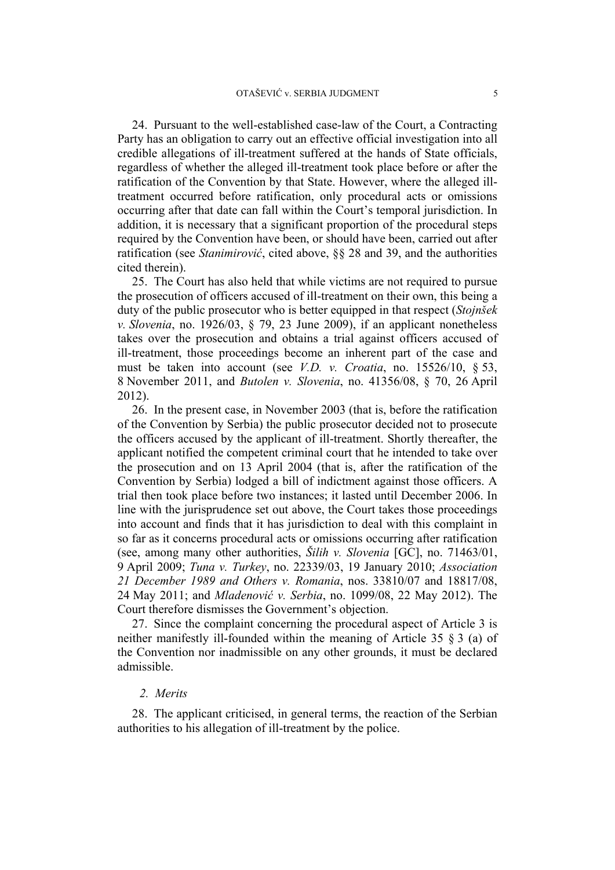24. Pursuant to the well-established case-law of the Court, a Contracting Party has an obligation to carry out an effective official investigation into all credible allegations of ill-treatment suffered at the hands of State officials, regardless of whether the alleged ill-treatment took place before or after the ratification of the Convention by that State. However, where the alleged illtreatment occurred before ratification, only procedural acts or omissions occurring after that date can fall within the Court's temporal jurisdiction. In addition, it is necessary that a significant proportion of the procedural steps required by the Convention have been, or should have been, carried out after ratification (see *Stanimirović*, cited above, §§ 28 and 39, and the authorities cited therein).

25. The Court has also held that while victims are not required to pursue the prosecution of officers accused of ill-treatment on their own, this being a duty of the public prosecutor who is better equipped in that respect (*Stojnšek v. Slovenia*, no. 1926/03, § 79, 23 June 2009), if an applicant nonetheless takes over the prosecution and obtains a trial against officers accused of ill-treatment, those proceedings become an inherent part of the case and must be taken into account (see *V.D. v. Croatia*, no. 15526/10, § 53, 8 November 2011, and *Butolen v. Slovenia*, no. 41356/08, § 70, 26 April 2012).

26. In the present case, in November 2003 (that is, before the ratification of the Convention by Serbia) the public prosecutor decided not to prosecute the officers accused by the applicant of ill-treatment. Shortly thereafter, the applicant notified the competent criminal court that he intended to take over the prosecution and on 13 April 2004 (that is, after the ratification of the Convention by Serbia) lodged a bill of indictment against those officers. A trial then took place before two instances; it lasted until December 2006. In line with the jurisprudence set out above, the Court takes those proceedings into account and finds that it has jurisdiction to deal with this complaint in so far as it concerns procedural acts or omissions occurring after ratification (see, among many other authorities, *Šilih v. Slovenia* [GC], no. 71463/01, 9 April 2009; *Tuna v. Turkey*, no. 22339/03, 19 January 2010; *Association 21 December 1989 and Others v. Romania*, nos. 33810/07 and 18817/08, 24 May 2011; and *Mladenović v. Serbia*, no. 1099/08, 22 May 2012). The Court therefore dismisses the Government's objection.

27. Since the complaint concerning the procedural aspect of Article 3 is neither manifestly ill-founded within the meaning of Article 35 § 3 (a) of the Convention nor inadmissible on any other grounds, it must be declared admissible.

#### *2. Merits*

28. The applicant criticised, in general terms, the reaction of the Serbian authorities to his allegation of ill-treatment by the police.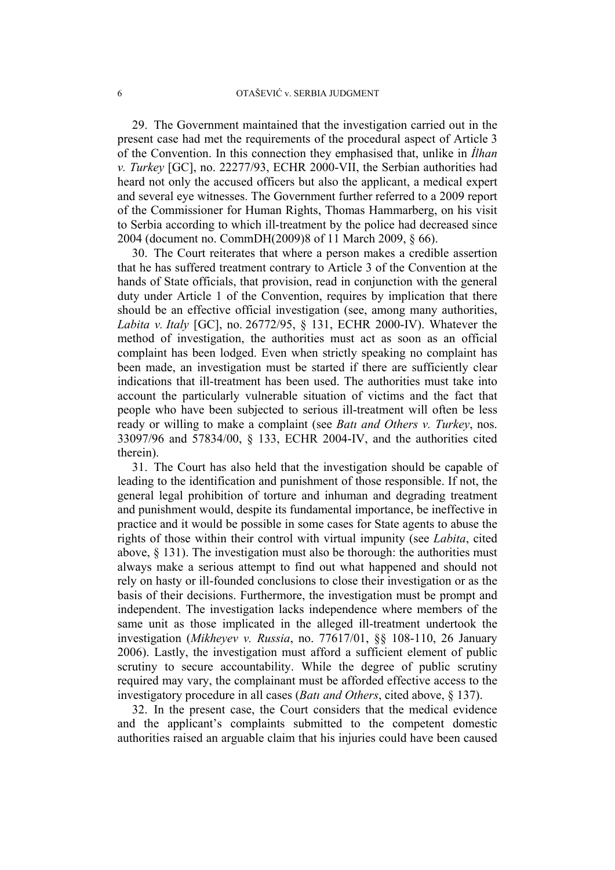29. The Government maintained that the investigation carried out in the present case had met the requirements of the procedural aspect of Article 3 of the Convention. In this connection they emphasised that, unlike in *İlhan v. Turkey* [GC], no. 22277/93, ECHR 2000-VII, the Serbian authorities had heard not only the accused officers but also the applicant, a medical expert and several eye witnesses. The Government further referred to a 2009 report of the Commissioner for Human Rights, Thomas Hammarberg, on his visit to Serbia according to which ill-treatment by the police had decreased since 2004 (document no. CommDH(2009)8 of 11 March 2009, § 66).

30. The Court reiterates that where a person makes a credible assertion that he has suffered treatment contrary to Article 3 of the Convention at the hands of State officials, that provision, read in conjunction with the general duty under Article 1 of the Convention, requires by implication that there should be an effective official investigation (see, among many authorities, *Labita v. Italy* [GC], no. 26772/95, § 131, ECHR 2000-IV). Whatever the method of investigation, the authorities must act as soon as an official complaint has been lodged. Even when strictly speaking no complaint has been made, an investigation must be started if there are sufficiently clear indications that ill-treatment has been used. The authorities must take into account the particularly vulnerable situation of victims and the fact that people who have been subjected to serious ill-treatment will often be less ready or willing to make a complaint (see *Batı and Others v. Turkey*, nos. 33097/96 and 57834/00, § 133, ECHR 2004-IV, and the authorities cited therein).

31. The Court has also held that the investigation should be capable of leading to the identification and punishment of those responsible. If not, the general legal prohibition of torture and inhuman and degrading treatment and punishment would, despite its fundamental importance, be ineffective in practice and it would be possible in some cases for State agents to abuse the rights of those within their control with virtual impunity (see *Labita*, cited above, § 131). The investigation must also be thorough: the authorities must always make a serious attempt to find out what happened and should not rely on hasty or ill-founded conclusions to close their investigation or as the basis of their decisions. Furthermore, the investigation must be prompt and independent. The investigation lacks independence where members of the same unit as those implicated in the alleged ill-treatment undertook the investigation (*Mikheyev v. Russia*, no. 77617/01, §§ 108-110, 26 January 2006). Lastly, the investigation must afford a sufficient element of public scrutiny to secure accountability. While the degree of public scrutiny required may vary, the complainant must be afforded effective access to the investigatory procedure in all cases (*Batı and Others*, cited above, § 137).

32. In the present case, the Court considers that the medical evidence and the applicant's complaints submitted to the competent domestic authorities raised an arguable claim that his injuries could have been caused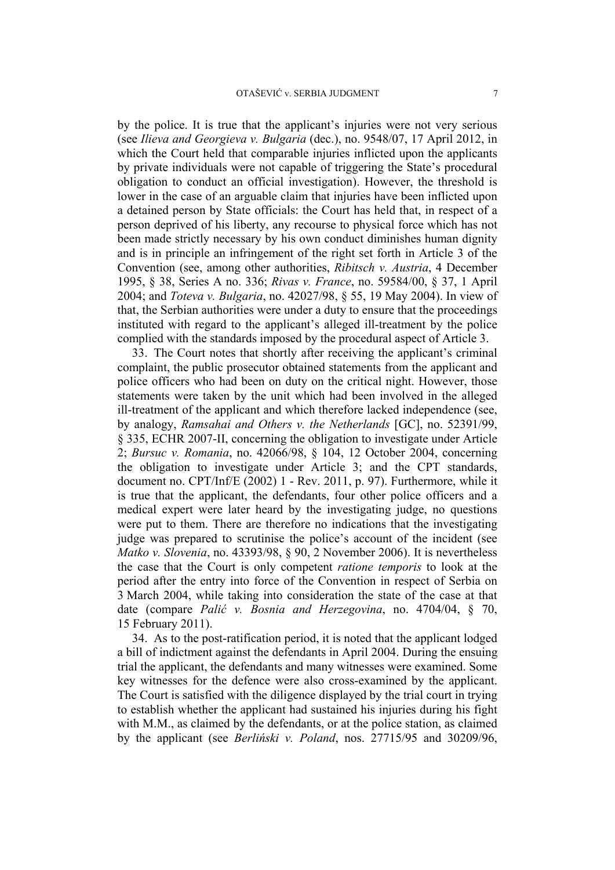by the police. It is true that the applicant's injuries were not very serious (see *Ilieva and Georgieva v. Bulgaria* (dec.), no. 9548/07, 17 April 2012, in which the Court held that comparable injuries inflicted upon the applicants by private individuals were not capable of triggering the State's procedural obligation to conduct an official investigation). However, the threshold is lower in the case of an arguable claim that injuries have been inflicted upon a detained person by State officials: the Court has held that, in respect of a person deprived of his liberty, any recourse to physical force which has not been made strictly necessary by his own conduct diminishes human dignity and is in principle an infringement of the right set forth in Article 3 of the Convention (see, among other authorities, *Ribitsch v. Austria*, 4 December 1995, § 38, Series A no. 336; *Rivas v. France*, no. 59584/00, § 37, 1 April 2004; and *Toteva v. Bulgaria*, no. 42027/98, § 55, 19 May 2004). In view of that, the Serbian authorities were under a duty to ensure that the proceedings instituted with regard to the applicant's alleged ill-treatment by the police complied with the standards imposed by the procedural aspect of Article 3.

33. The Court notes that shortly after receiving the applicant's criminal complaint, the public prosecutor obtained statements from the applicant and police officers who had been on duty on the critical night. However, those statements were taken by the unit which had been involved in the alleged ill-treatment of the applicant and which therefore lacked independence (see, by analogy, *Ramsahai and Others v. the Netherlands* [GC], no. 52391/99, § 335, ECHR 2007-II, concerning the obligation to investigate under Article 2; *Bursuc v. Romania*, no. 42066/98, § 104, 12 October 2004, concerning the obligation to investigate under Article 3; and the CPT standards, document no. CPT/Inf/E (2002) 1 - Rev. 2011, p. 97). Furthermore, while it is true that the applicant, the defendants, four other police officers and a medical expert were later heard by the investigating judge, no questions were put to them. There are therefore no indications that the investigating judge was prepared to scrutinise the police's account of the incident (see *Matko v. Slovenia*, no. 43393/98, § 90, 2 November 2006). It is nevertheless the case that the Court is only competent *ratione temporis* to look at the period after the entry into force of the Convention in respect of Serbia on 3 March 2004, while taking into consideration the state of the case at that date (compare *Palić v. Bosnia and Herzegovina*, no. 4704/04, § 70, 15 February 2011).

34. As to the post-ratification period, it is noted that the applicant lodged a bill of indictment against the defendants in April 2004. During the ensuing trial the applicant, the defendants and many witnesses were examined. Some key witnesses for the defence were also cross-examined by the applicant. The Court is satisfied with the diligence displayed by the trial court in trying to establish whether the applicant had sustained his injuries during his fight with M.M., as claimed by the defendants, or at the police station, as claimed by the applicant (see *Berliński v. Poland*, nos. 27715/95 and 30209/96,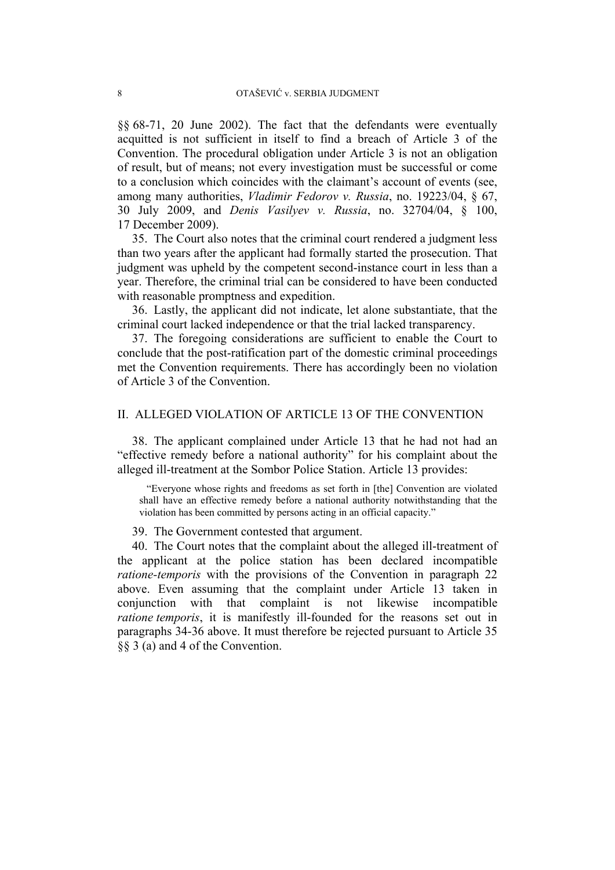§§ 68-71, 20 June 2002). The fact that the defendants were eventually acquitted is not sufficient in itself to find a breach of Article 3 of the Convention. The procedural obligation under Article 3 is not an obligation of result, but of means; not every investigation must be successful or come to a conclusion which coincides with the claimant's account of events (see, among many authorities, *Vladimir Fedorov v. Russia*, no. 19223/04, § 67, 30 July 2009, and *Denis Vasilyev v. Russia*, no. 32704/04, § 100, 17 December 2009).

35. The Court also notes that the criminal court rendered a judgment less than two years after the applicant had formally started the prosecution. That judgment was upheld by the competent second-instance court in less than a year. Therefore, the criminal trial can be considered to have been conducted with reasonable promptness and expedition.

36. Lastly, the applicant did not indicate, let alone substantiate, that the criminal court lacked independence or that the trial lacked transparency.

37. The foregoing considerations are sufficient to enable the Court to conclude that the post-ratification part of the domestic criminal proceedings met the Convention requirements. There has accordingly been no violation of Article 3 of the Convention.

### II. ALLEGED VIOLATION OF ARTICLE 13 OF THE CONVENTION

38. The applicant complained under Article 13 that he had not had an "effective remedy before a national authority" for his complaint about the alleged ill-treatment at the Sombor Police Station. Article 13 provides:

"Everyone whose rights and freedoms as set forth in [the] Convention are violated shall have an effective remedy before a national authority notwithstanding that the violation has been committed by persons acting in an official capacity."

39. The Government contested that argument.

40. The Court notes that the complaint about the alleged ill-treatment of the applicant at the police station has been declared incompatible *ratione-temporis* with the provisions of the Convention in paragraph 22 above. Even assuming that the complaint under Article 13 taken in conjunction with that complaint is not likewise incompatible *ratione temporis*, it is manifestly ill-founded for the reasons set out in paragraphs 34-36 above. It must therefore be rejected pursuant to Article 35 §§ 3 (a) and 4 of the Convention.